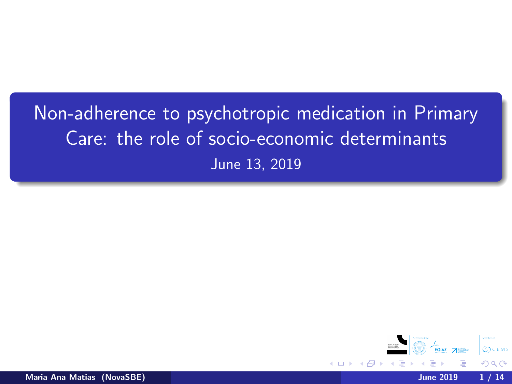# Non-adherence to psychotropic medication in Primary Care: the role of socio-economic determinants June 13, 2019

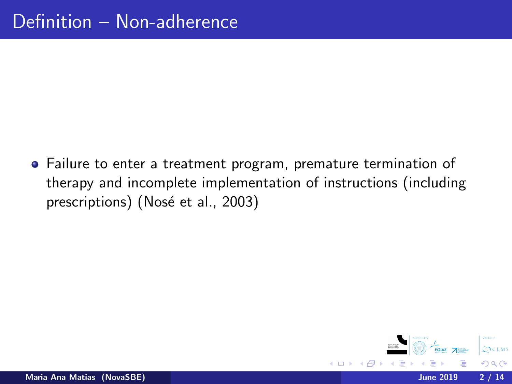Failure to enter a treatment program, premature termination of therapy and incomplete implementation of instructions (including prescriptions) (Nosé et al., 2003)

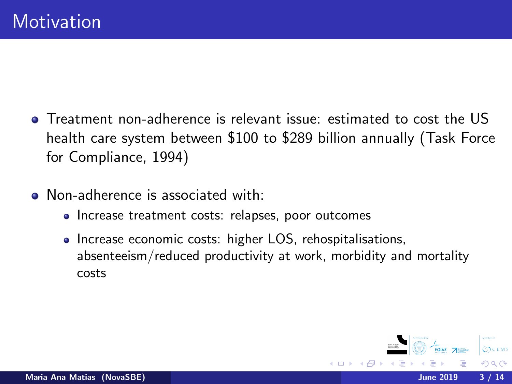- Treatment non-adherence is relevant issue: estimated to cost the US health care system between \$100 to \$289 billion annually (Task Force for Compliance, 1994)
- Non-adherence is associated with:
	- Increase treatment costs: relapses, poor outcomes
	- Increase economic costs: higher LOS, rehospitalisations, absenteeism/reduced productivity at work, morbidity and mortality costs

**∢ ロ ▶ ( 印** 

/\_<br>equis <del>Д</del>аден ⊙сем.  $-990$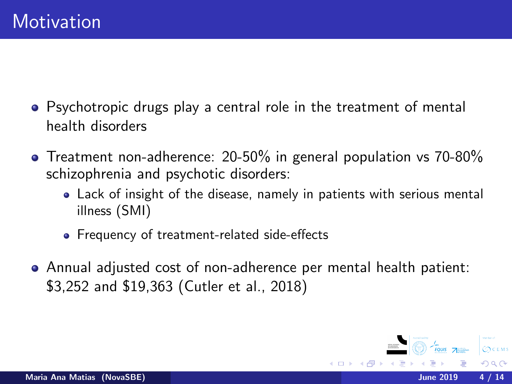- Psychotropic drugs play a central role in the treatment of mental health disorders
- Treatment non-adherence: 20-50% in general population vs 70-80% schizophrenia and psychotic disorders:
	- Lack of insight of the disease, namely in patients with serious mental illness (SMI)
	- **•** Frequency of treatment-related side-effects
- Annual adjusted cost of non-adherence per mental health patient: \$3,252 and \$19,363 (Cutler et al., 2018)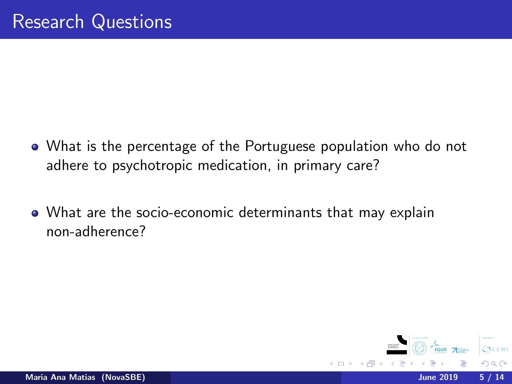- What is the percentage of the Portuguese population who do not adhere to psychotropic medication, in primary care?
- What are the socio-economic determinants that may explain non-adherence?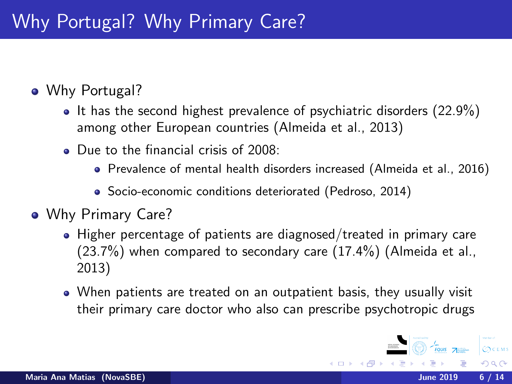## Why Portugal? Why Primary Care?

- Why Portugal?
	- $\bullet$  It has the second highest prevalence of psychiatric disorders (22.9%) among other European countries (Almeida et al., 2013)
	- Due to the financial crisis of 2008:
		- Prevalence of mental health disorders increased (Almeida et al., 2016)
		- Socio-economic conditions deteriorated (Pedroso, 2014)
- Why Primary Care?
	- Higher percentage of patients are diagnosed/treated in primary care  $(23.7%)$  when compared to secondary care  $(17.4%)$  (Almeida et al., 2013)
	- When patients are treated on an outpatient basis, they usually visit their primary care doctor who also can prescribe psychotropic drugs

**EQUIS ZEEL OCEMS**  $\equiv$   $\Omega$ 

メロメ (倒) メミン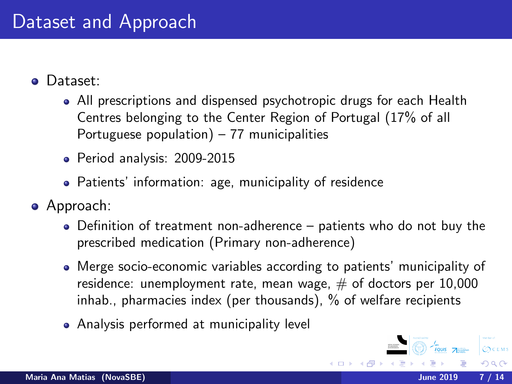## Dataset and Approach

#### Dataset:

- All prescriptions and dispensed psychotropic drugs for each Health Centres belonging to the Center Region of Portugal (17% of all Portuguese population)  $-77$  municipalities
- Period analysis: 2009-2015
- Patients' information: age, municipality of residence
- Approach:
	- Definition of treatment non-adherence patients who do not buy the prescribed medication (Primary non-adherence)
	- Merge socio-economic variables according to patients' municipality of residence: unemployment rate, mean wage,  $\#$  of doctors per 10,000 inhab., pharmacies index (per thousands), % of welfare recipients

 $\frac{L}{10000}$   $\frac{L}{20000}$   $\frac{L}{20000}$   $\frac{L}{20000}$  $= 990$ 

**K ロ ⊁ K 伊 ⊁ K ミ ≯** 

Analysis performed at municipality level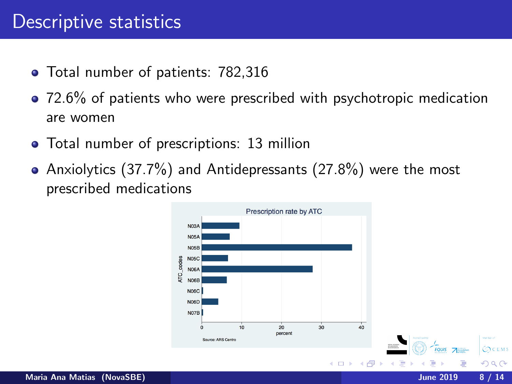### Descriptive statistics

- Total number of patients: 782,316
- 72.6% of patients who were prescribed with psychotropic medication are women
- Total number of prescriptions: 13 million
- Anxiolytics (37.7%) and Antidepressants (27.8%) were the most prescribed medications

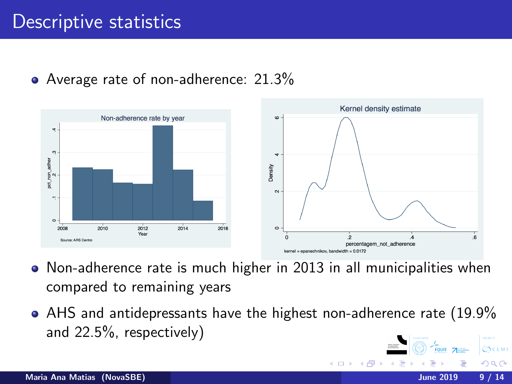## Descriptive statistics





- Non-adherence rate is much higher in 2013 in all municipalities when compared to remaining years
- AHS and antidepressants have the highest non-adherence rate (19.9% and 22.5%, respectively)

4 0 8

COCEMS  $QQ$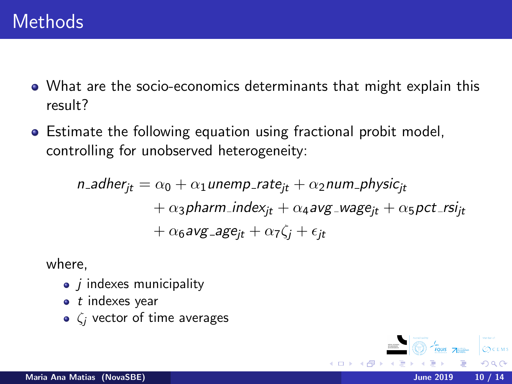- What are the socio-economics determinants that might explain this result?
- **Estimate the following equation using fractional probit model,** controlling for unobserved heterogeneity:

$$
n\_adher_{jt} = \alpha_0 + \alpha_1 \text{unemp\_rate}_{jt} + \alpha_2 \text{num\_physic}_{jt}
$$

$$
+ \alpha_3 \text{pharm\_index}_{jt} + \alpha_4 \text{avg\_wage}_{jt} + \alpha_5 \text{pct\_rs}_{jt}
$$

$$
+ \alpha_6 \text{avg\_age}_{jt} + \alpha_7 \zeta_j + \epsilon_{jt}
$$

Осем.  $QQ$ 

where,

- $\bullet$  *j* indexes municipality
- $\bullet$  t indexes year
- $\circ$   $\zeta_i$  vector of time averages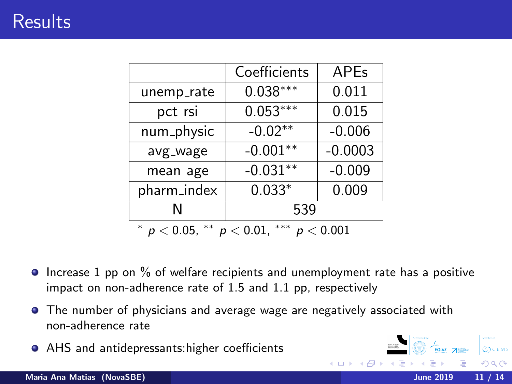|                | Coefficients | <b>APEs</b> |
|----------------|--------------|-------------|
| unemp_rate     | $0.038***$   | 0.011       |
| pct_rsi        | $0.053***$   | 0.015       |
| num_physic     | $-0.02***$   | $-0.006$    |
| avg_wage       | $-0.001**$   | $-0.0003$   |
| mean_age       | $-0.031**$   | $-0.009$    |
| pharm_index    | $0.033*$     | 0.009       |
| N              | 539          |             |
| Λ1<br>n /<br>n |              |             |

 $p < 0.05$ , \*\*  $p < 0.01$ , \*\*\*  $p < 0.001$ 

- **Increase 1 pp on % of welfare recipients and unemployment rate has a positive** impact on non-adherence rate of 1.5 and 1.1 pp, respectively
- The number of physicians and average wage are negatively associated with non-adherence rate
- AHS and antidepressants: higher coefficients

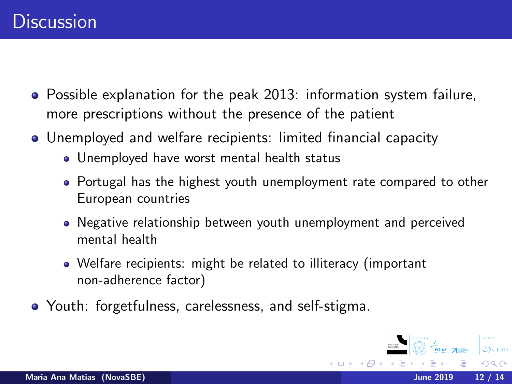- Possible explanation for the peak 2013: information system failure, more prescriptions without the presence of the patient
- Unemployed and welfare recipients: limited financial capacity
	- Unemployed have worst mental health status
	- Portugal has the highest youth unemployment rate compared to other European countries

**∢ ロ ▶ ( 印** 

/<br>EQUIS 21⊯⊞e OCEMS  $\equiv$   $\Omega$ 

- Negative relationship between youth unemployment and perceived mental health
- Welfare recipients: might be related to illiteracy (important non-adherence factor)
- Youth: forgetfulness, carelessness, and self-stigma.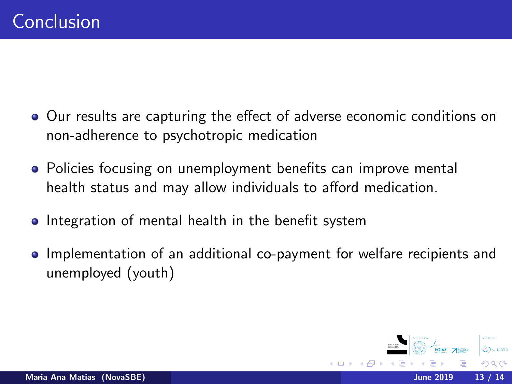- Our results are capturing the effect of adverse economic conditions on non-adherence to psychotropic medication
- Policies focusing on unemployment benefits can improve mental health status and may allow individuals to afford medication.
- **•** Integration of mental health in the benefit system
- Implementation of an additional co-payment for welfare recipients and unemployed (youth)